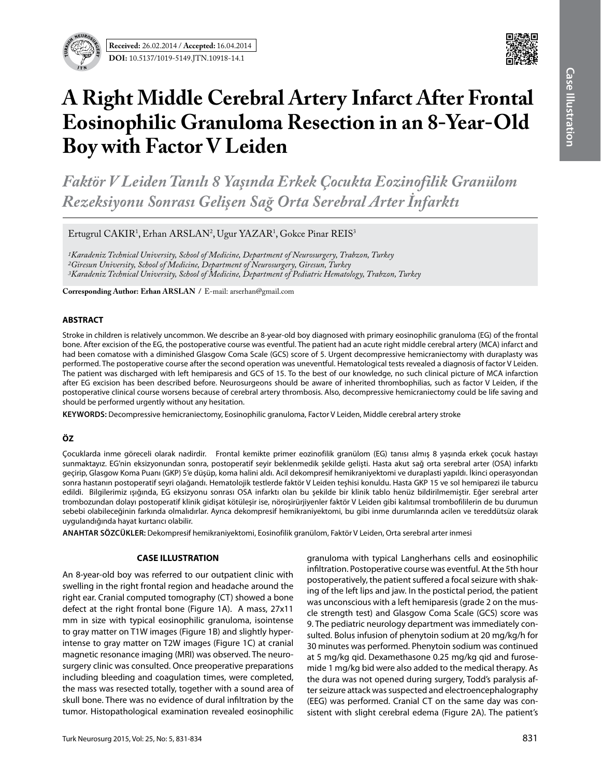



# **A Right Middle Cerebral Artery Infarct After Frontal Eosinophilic Granuloma Resection in an 8-Year-Old Boy with Factor V Leiden**

*Faktör V Leiden Tanılı 8 Yaşında Erkek Çocukta Eozinofilik Granülom Rezeksiyonu Sonrası Gelişen Sağ Orta Serebral Arter İnfarktı*

Ertugrul CAKIR<sup>1</sup>, Erhan ARSLAN<sup>2</sup>, Ugur YAZAR<sup>1</sup>, Gokce Pinar REIS<sup>3</sup>

*1Karadeniz Technical University, School of Medicine, Department of Neurosurgery, Trabzon, Turkey 2Giresun University, School of Medicine, Department of Neurosurgery, Giresun, Turkey 3Karadeniz Technical University, School of Medicine, Department of Pediatric Hematology, Trabzon, Turkey*

**Corresponding Author: Erhan ARSLAN / E-mail: arserhan@gmail.com** 

### **ABSTRACT**

Stroke in children is relatively uncommon. We describe an 8-year-old boy diagnosed with primary eosinophilic granuloma (EG) of the frontal bone. After excision of the EG, the postoperative course was eventful. The patient had an acute right middle cerebral artery (MCA) infarct and had been comatose with a diminished Glasgow Coma Scale (GCS) score of 5. Urgent decompressive hemicraniectomy with duraplasty was performed. The postoperative course after the second operation was uneventful. Hematological tests revealed a diagnosis of factor V Leiden. The patient was discharged with left hemiparesis and GCS of 15. To the best of our knowledge, no such clinical picture of MCA infarction after EG excision has been described before. Neurosurgeons should be aware of inherited thrombophilias, such as factor V Leiden, if the postoperative clinical course worsens because of cerebral artery thrombosis. Also, decompressive hemicraniectomy could be life saving and should be performed urgently without any hesitation.

**Keywords:** Decompressive hemicraniectomy, Eosinophilic granuloma, Factor V Leiden, Middle cerebral artery stroke

## **ÖZ**

Çocuklarda inme göreceli olarak nadirdir. Frontal kemikte primer eozinofilik granülom (EG) tanısı almış 8 yaşında erkek çocuk hastayı sunmaktayız. EG'nin eksizyonundan sonra, postoperatif seyir beklenmedik şekilde gelişti. Hasta akut sağ orta serebral arter (OSA) infarktı geçirip, Glasgow Koma Puanı (GKP) 5'e düşüp, koma halini aldı. Acil dekompresif hemikraniyektomi ve duraplasti yapıldı. İkinci operasyondan sonra hastanın postoperatif seyri olağandı. Hematolojik testlerde faktör V Leiden teşhisi konuldu. Hasta GKP 15 ve sol hemiparezi ile taburcu edildi. Bilgilerimiz ışığında, EG eksizyonu sonrası OSA infarktı olan bu şekilde bir klinik tablo henüz bildirilmemiştir. Eğer serebral arter trombozundan dolayı postoperatif klinik gidişat kötüleşir ise, nöroşirürjiyenler faktör V Leiden gibi kalıtımsal trombofililerin de bu durumun sebebi olabileceğinin farkında olmalıdırlar. Ayrıca dekompresif hemikraniyektomi, bu gibi inme durumlarında acilen ve tereddütsüz olarak uygulandığında hayat kurtarıcı olabilir.

**ANAHTAR SÖZCÜKLER:** Dekompresif hemikraniyektomi, Eosinofilik granülom, Faktör V Leiden, Orta serebral arter inmesi

### **CASE ILLUSTRATION**

An 8-year-old boy was referred to our outpatient clinic with swelling in the right frontal region and headache around the right ear. Cranial computed tomography (CT) showed a bone defect at the right frontal bone (Figure 1A). A mass, 27x11 mm in size with typical eosinophilic granuloma, isointense to gray matter on T1W images (Figure 1b) and slightly hyperintense to gray matter on T2W images (Figure 1c) at cranial magnetic resonance imaging (MRI) was observed. The neurosurgery clinic was consulted. Once preoperative preparations including bleeding and coagulation times, were completed, the mass was resected totally, together with a sound area of skull bone. There was no evidence of dural infiltration by the tumor. Histopathological examination revealed eosinophilic

granuloma with typical Langherhans cells and eosinophilic infiltration. Postoperative course was eventful. At the 5th hour postoperatively, the patient suffered a focal seizure with shaking of the left lips and jaw. In the postictal period, the patient was unconscious with a left hemiparesis (grade 2 on the muscle strength test) and Glasgow Coma Scale (GCS) score was 9. The pediatric neurology department was immediately consulted. Bolus infusion of phenytoin sodium at 20 mg/kg/h for 30 minutes was performed. Phenytoin sodium was continued at 5 mg/kg qid. Dexamethasone 0.25 mg/kg qid and furosemide 1 mg/kg bid were also added to the medical therapy. As the dura was not opened during surgery, Todd's paralysis after seizure attack was suspected and electroencephalography (EEG) was performed. Cranial CT on the same day was consistent with slight cerebral edema (Figure 2A). The patient's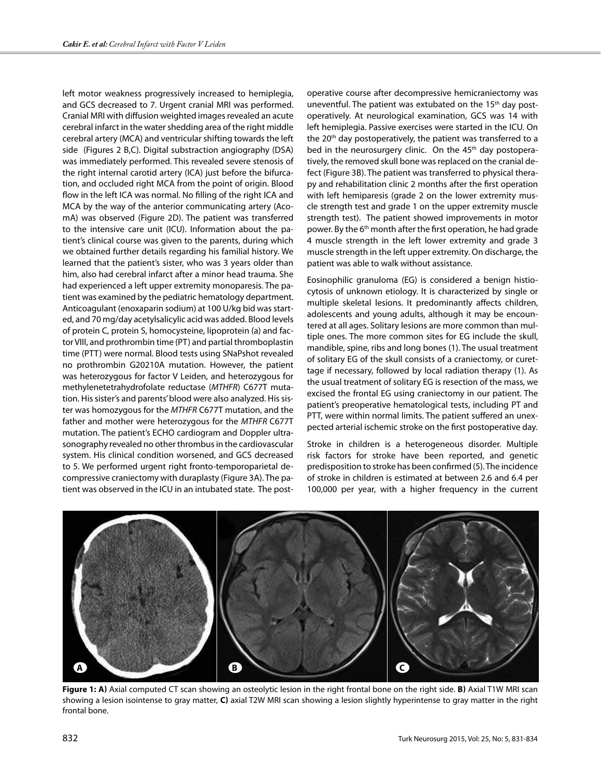left motor weakness progressively increased to hemiplegia, and GCS decreased to 7. Urgent cranial MRI was performed. Cranial MRI with diffusion weighted images revealed an acute cerebral infarct in the water shedding area of the right middle cerebral artery (MCA) and ventricular shifting towards the left side (Figures 2 B,C). Digital substraction angiography (DSA) was immediately performed. This revealed severe stenosis of the right internal carotid artery (ICA) just before the bifurcation, and occluded right MCA from the point of origin. Blood flow in the left ICA was normal. No filling of the right ICA and MCA by the way of the anterior communicating artery (AcomA) was observed (Figure 2D). The patient was transferred to the intensive care unit (ICU). Information about the patient's clinical course was given to the parents, during which we obtained further details regarding his familial history. We learned that the patient's sister, who was 3 years older than him, also had cerebral infarct after a minor head trauma. She had experienced a left upper extremity monoparesis. The patient was examined by the pediatric hematology department. Anticoagulant (enoxaparin sodium) at 100 U/kg bid was started, and 70 mg/day acetylsalicylic acid was added. Blood levels of protein C, protein S, homocysteine, lipoprotein (a) and factor VIII, and prothrombin time (PT) and partial thromboplastin time (PTT) were normal. Blood tests using SNaPshot revealed no prothrombin G20210A mutation. However, the patient was heterozygous for factor V Leiden, and heterozygous for methylenetetrahydrofolate reductase (*MTHFR*) C677T mutation. His sister's and parents' blood were also analyzed. His sister was homozygous for the *MTHFR* C677T mutation, and the father and mother were heterozygous for the *MTHFR* C677T mutation. The patient's ECHO cardiogram and Doppler ultrasonography revealed no other thrombus in the cardiovascular system. His clinical condition worsened, and GCS decreased to 5. We performed urgent right fronto-temporoparietal decompressive craniectomy with duraplasty (Figure 3a). The patient was observed in the ICU in an intubated state. The post-

operative course after decompressive hemicraniectomy was uneventful. The patient was extubated on the 15<sup>th</sup> day postoperatively. At neurological examination, GCS was 14 with left hemiplegia. Passive exercises were started in the ICU. On the 20<sup>th</sup> day postoperatively, the patient was transferred to a bed in the neurosurgery clinic. On the 45<sup>th</sup> day postoperatively, the removed skull bone was replaced on the cranial defect (Figure 3b). The patient was transferred to physical therapy and rehabilitation clinic 2 months after the first operation with left hemiparesis (grade 2 on the lower extremity muscle strength test and grade 1 on the upper extremity muscle strength test). The patient showed improvements in motor power. By the 6<sup>th</sup> month after the first operation, he had grade 4 muscle strength in the left lower extremity and grade 3 muscle strength in the left upper extremity. On discharge, the patient was able to walk without assistance.

Eosinophilic granuloma (EG) is considered a benign histiocytosis of unknown etiology. It is characterized by single or multiple skeletal lesions. It predominantly affects children, adolescents and young adults, although it may be encountered at all ages. Solitary lesions are more common than multiple ones. The more common sites for EG include the skull, mandible, spine, ribs and long bones (1). The usual treatment of solitary EG of the skull consists of a craniectomy, or curettage if necessary, followed by local radiation therapy (1). As the usual treatment of solitary EG is resection of the mass, we excised the frontal EG using craniectomy in our patient. The patient's preoperative hematological tests, including PT and PTT, were within normal limits. The patient suffered an unexpected arterial ischemic stroke on the first postoperative day.

Stroke in children is a heterogeneous disorder. Multiple risk factors for stroke have been reported, and genetic predisposition to stroke has been confirmed (5). The incidence of stroke in children is estimated at between 2.6 and 6.4 per 100,000 per year, with a higher frequency in the current



**Figure 1: a)** Axial computed CT scan showing an osteolytic lesion in the right frontal bone on the right side. **b)** Axial T1W MRI scan showing a lesion isointense to gray matter, **c)** axial T2W MRI scan showing a lesion slightly hyperintense to gray matter in the right frontal bone.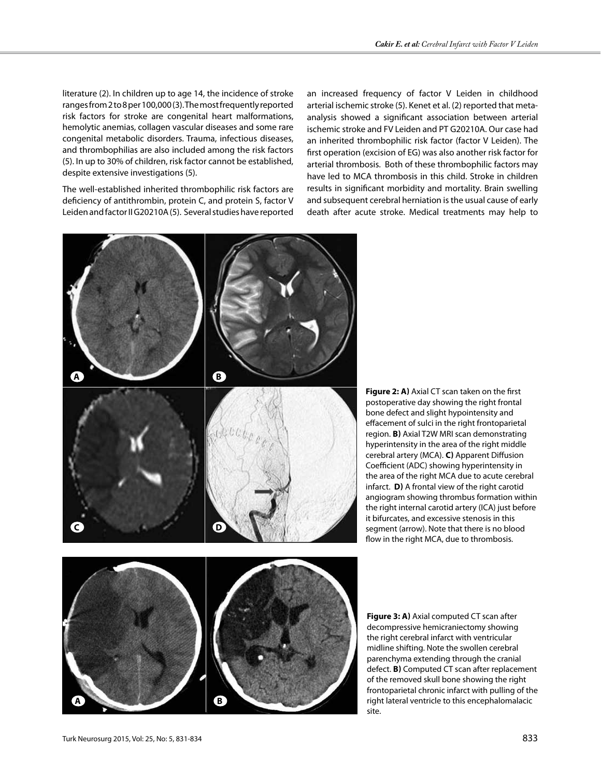literature (2). In children up to age 14, the incidence of stroke ranges from 2 to 8 per 100,000 (3). The most frequently reported risk factors for stroke are congenital heart malformations, hemolytic anemias, collagen vascular diseases and some rare congenital metabolic disorders. Trauma, infectious diseases, and thrombophilias are also included among the risk factors (5). In up to 30% of children, risk factor cannot be established, despite extensive investigations (5).

The well-established inherited thrombophilic risk factors are deficiency of antithrombin, protein C, and protein S, factor V Leiden and factor II G20210A (5). Several studies have reported an increased frequency of factor V Leiden in childhood arterial ischemic stroke (5). Kenet et al. (2) reported that metaanalysis showed a significant association between arterial ischemic stroke and FV Leiden and PT G20210A. Our case had an inherited thrombophilic risk factor (factor V Leiden). The first operation (excision of EG) was also another risk factor for arterial thrombosis. Both of these thrombophilic factors may have led to MCA thrombosis in this child. Stroke in children results in significant morbidity and mortality. Brain swelling and subsequent cerebral herniation is the usual cause of early death after acute stroke. Medical treatments may help to



**Figure 2: a)** Axial CT scan taken on the first postoperative day showing the right frontal bone defect and slight hypointensity and effacement of sulci in the right frontoparietal region. **b)** Axial T2W MRI scan demonstrating hyperintensity in the area of the right middle cerebral artery (MCA). **c)** Apparent Diffusion Coefficient (ADC) showing hyperintensity in the area of the right MCA due to acute cerebral infarct. **d)** A frontal view of the right carotid angiogram showing thrombus formation within the right internal carotid artery (ICA) just before it bifurcates, and excessive stenosis in this segment (arrow). Note that there is no blood flow in the right MCA, due to thrombosis.